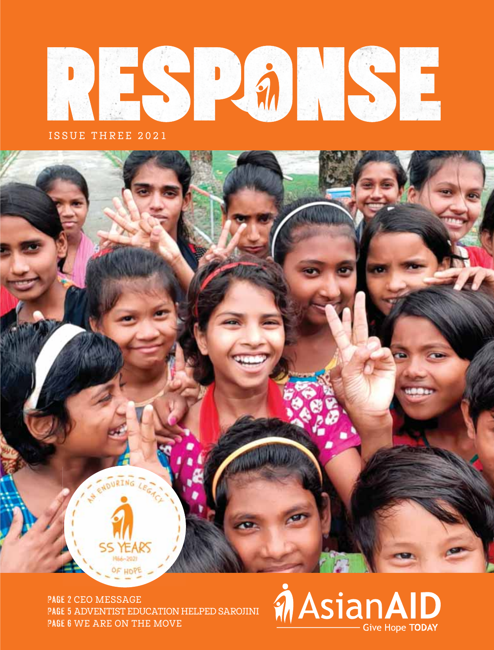

ISSUE THREE 2021

**Page 2** CEO MESSAGE **Page 5** ADVENTIST EDUCATION HELPED SAROJINI **Page 6** WE ARE ON THE MOVE

ENDURING LEGACY

# **MAsianAID** Give Hope TODAY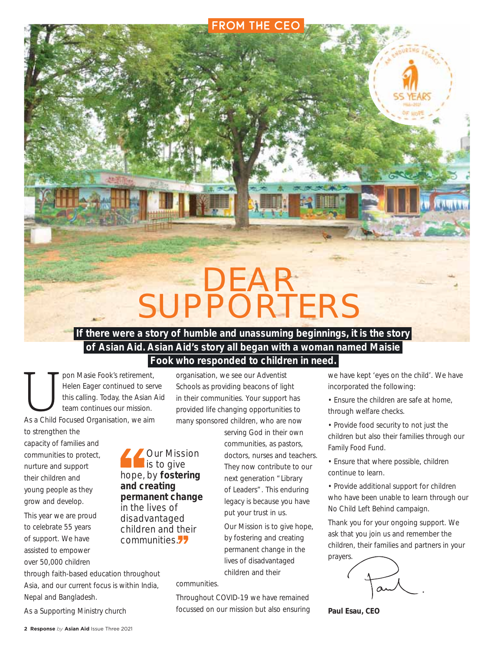# DEAR SUPPORTERS

FROM THE CEO

### **If there were a story of humble and unassuming beginnings, it is the story of Asian Aid. Asian Aid's story all began with a woman named Maisie Fook who responded to children in need.**

T pon Masie Fook's retirement,<br>
Helen Eager continued to serve<br>
this calling. Today, the Asian A<br>
team continues our mission.<br>
As a Child Focused Organisation, we aim Helen Eager continued to serve this calling. Today, the Asian Aid team continues our mission.

to strengthen the

capacity of families and communities to protect, nurture and support their children and young people as they grow and develop.

This year we are proud to celebrate 55 years of support. We have assisted to empower over 50,000 children

Our Mission is to give hope, by **fostering and creating permanent change** in the lives of disadvantaged children and their communities.

through faith-based education throughout Asia, and our current focus is within India, Nepal and Bangladesh.

As a Supporting Ministry church

organisation, we see our Adventist Schools as providing beacons of light in their communities. Your support has provided life changing opportunities to many sponsored children, who are now

> serving God in their own communities, as pastors, doctors, nurses and teachers. They now contribute to our next generation "Library of Leaders". This enduring legacy is because you have put your trust in us.

Our Mission is to give hope, by fostering and creating permanent change in the lives of disadvantaged children and their

communities.

Throughout COVID-19 we have remained focussed on our mission but also ensuring we have kept 'eyes on the child'. We have incorporated the following:

- Ensure the children are safe at home, through welfare checks.
- Provide food security to not just the children but also their families through our Family Food Fund.
- Ensure that where possible, children continue to learn.
- Provide additional support for children who have been unable to learn through our No Child Left Behind campaign.

Thank you for your ongoing support. We ask that you join us and remember the children, their families and partners in your prayers.



**Paul Esau, CEO**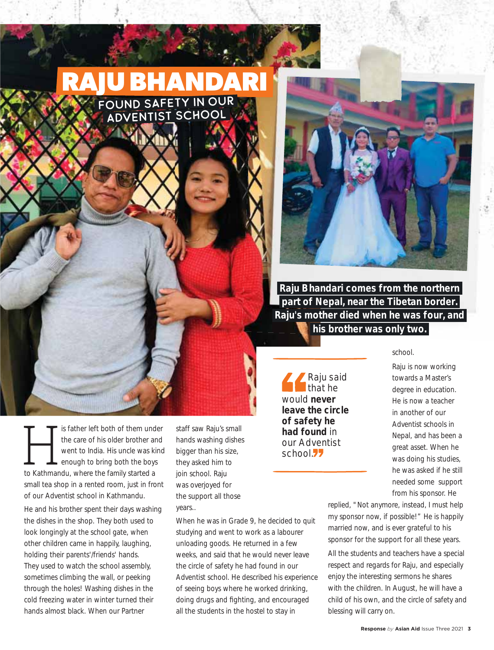## **RAJU BHANDARI** Found Safety in Our

Adventist School



 **Raju Bhandari comes from the northern part of Nepal, near the Tibetan border. Raju's mother died when he was four, and his brother was only two.** 

Raju said that he would **never leave the circle of safety he had found** in our Adventist school.<sup>77</sup>

school.

Raju is now working towards a Master's degree in education. He is now a teacher in another of our Adventist schools in Nepal, and has been a great asset. When he was doing his studies, he was asked if he still needed some support from his sponsor. He

replied, "Not anymore, instead, I must help my sponsor now, if possible!" He is happily married now, and is ever grateful to his sponsor for the support for all these years.

All the students and teachers have a special respect and regards for Raju, and especially enjoy the interesting sermons he shares with the children. In August, he will have a child of his own, and the circle of safety and blessing will carry on.

Is father left both of them under<br>the care of his older brother and<br>went to India. His uncle was kind<br>enough to bring both the boys<br>to Kathmandu, where the family started a the care of his older brother and went to India. His uncle was kind enough to bring both the boys small tea shop in a rented room, just in front of our Adventist school in Kathmandu.

He and his brother spent their days washing the dishes in the shop. They both used to look longingly at the school gate, when other children came in happily, laughing, holding their parents'/friends' hands. They used to watch the school assembly, sometimes climbing the wall, or peeking through the holes! Washing dishes in the cold freezing water in winter turned their hands almost black. When our Partner

staff saw Raju's small hands washing dishes bigger than his size, they asked him to join school. Raju was overjoyed for the support all those years..

When he was in Grade 9, he decided to quit studying and went to work as a labourer unloading goods. He returned in a few weeks, and said that he would never leave the circle of safety he had found in our Adventist school. He described his experience of seeing boys where he worked drinking, doing drugs and fighting, and encouraged all the students in the hostel to stay in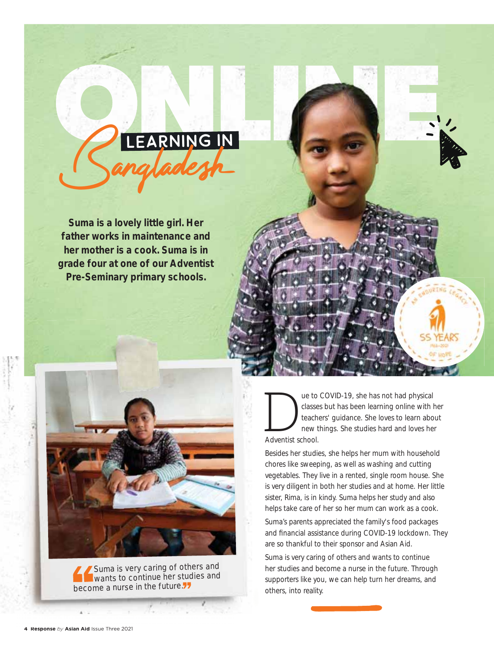

**Suma is a lovely little girl. Her father works in maintenance and her mother is a cook. Suma is in grade four at one of our Adventist Pre-Seminary primary schools.**



Suma is very caring of others and wants to continue her studies and become a nurse in the future.

The to COVID-19, she has not had physical classes but has been learning online with h<br>teachers' guidance. She loves to learn abo<br>new things. She studies hard and loves he<br>Adventist school. classes but has been learning online with her teachers' guidance. She loves to learn about new things. She studies hard and loves her Adventist school.

Besides her studies, she helps her mum with household chores like sweeping, as well as washing and cutting vegetables. They live in a rented, single room house. She is very diligent in both her studies and at home. Her little sister, Rima, is in kindy. Suma helps her study and also helps take care of her so her mum can work as a cook.

Suma's parents appreciated the family's food packages and financial assistance during COVID-19 lockdown. They are so thankful to their sponsor and Asian Aid.

Suma is very caring of others and wants to continue her studies and become a nurse in the future. Through supporters like you, we can help turn her dreams, and others, into reality.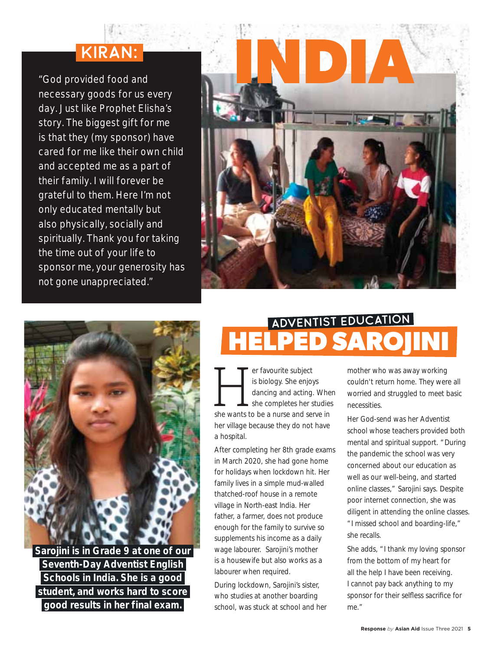# Kiran:

"God provided food and necessary goods for us every day. Just like Prophet Elisha's story. The biggest gift for me is that they (my sponsor) have cared for me like their own child and accepted me as a part of their family. I will forever be grateful to them. Here I'm not only educated mentally but also physically, socially and spiritually. Thank you for taking the time out of your life to sponsor me, your generosity has not gone unappreciated."





 **Sarojini is in Grade 9 at one of our Seventh-Day Adventist English Schools in India. She is a good student, and works hard to score good results in her final exam.** 

## **HELPED SAROJINI** Adventist Education

Fer favourite subject<br>
is biology. She enjoys<br>
dancing and acting. Where<br>
she wants to be a nurse and serve in is biology. She enjoys dancing and acting. When she completes her studies her village because they do not have a hospital.

After completing her 8th grade exams in March 2020, she had gone home for holidays when lockdown hit. Her family lives in a simple mud-walled thatched-roof house in a remote village in North-east India. Her father, a farmer, does not produce enough for the family to survive so supplements his income as a daily wage labourer. Sarojini's mother is a housewife but also works as a labourer when required.

During lockdown, Sarojini's sister, who studies at another boarding school, was stuck at school and her

mother who was away working couldn't return home. They were all worried and struggled to meet basic necessities.

Her God-send was her Adventist school whose teachers provided both mental and spiritual support. "During the pandemic the school was very concerned about our education as well as our well-being, and started online classes," Sarojini says. Despite poor internet connection, she was diligent in attending the online classes. "I missed school and boarding-life," she recalls.

She adds, "I thank my loving sponsor from the bottom of my heart for all the help I have been receiving. I cannot pay back anything to my sponsor for their selfless sacrifice for me."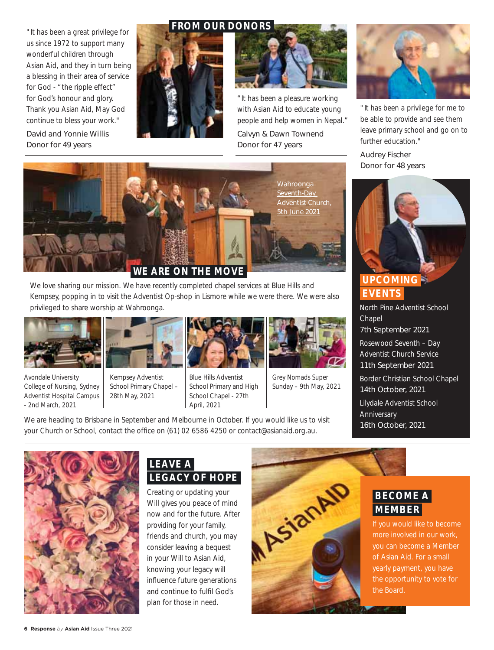"It has been a great privilege for us since 1972 to support many wonderful children through Asian Aid, and they in turn being a blessing in their area of service for God - "the ripple effect" for God's honour and glory. Thank you Asian Aid, May God continue to bless your work."

*David and Yonnie Willis Donor for 49 years*







"It has been a pleasure working with Asian Aid to educate young people and help women in Nepal." *Calvyn & Dawn Townend Donor for 47 years*



"It has been a privilege for me to be able to provide and see them leave primary school and go on to further education."

*Audrey Fischer Donor for 48 years*



### **UPCOMING EVENTS**

North Pine Adventist School Chapel *7th September 2021*

Rosewood Seventh – Day Adventist Church Service *11th September 2021*

Border Christian School Chapel *14th October, 2021*

Lilydale Adventist School **Anniversary** *16th October, 2021*



We love sharing our mission. We have recently completed chapel services at Blue Hills and Kempsey, popping in to visit the Adventist Op-shop in Lismore while we were there. We were also privileged to share worship at Wahroonga.



Avondale University College of Nursing, Sydney Adventist Hospital Campus - 2nd March, 2021



Kempsey Adventist School Primary Chapel – 28th May, 2021



Blue Hills Adventist School Primary and High School Chapel - 27th April, 2021



Grey Nomads Super Sunday – 9th May, 2021

We are heading to Brisbane in September and Melbourne in October. If you would like us to visit your Church or School, contact the office on (61) 02 6586 4250 or contact@asianaid.org.au.



### **LEAVE A LEGACY OF HOPE**

Creating or updating your Will gives you peace of mind now and for the future. After providing for your family, friends and church, you may consider leaving a bequest in your Will to Asian Aid, knowing your legacy will influence future generations and continue to fulfil God's plan for those in need.



 **BECOME A MEMBER** 

If you would like to become more involved in our work, you can become a Member of Asian Aid. For a small yearly payment, you have the opportunity to vote for the Board.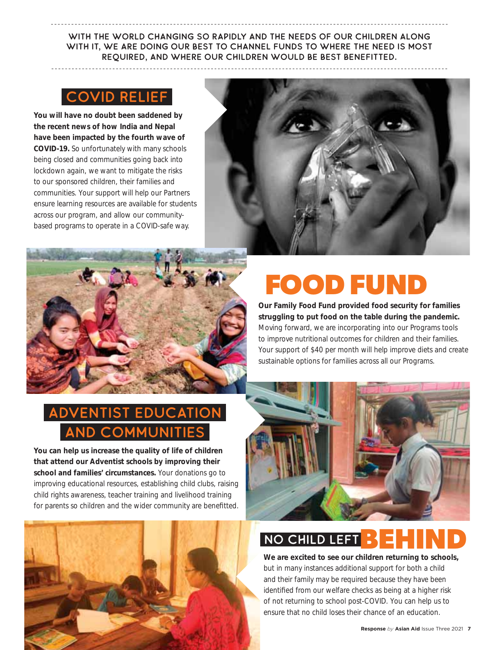With the world changing so rapidly and the needs of our children along WITH IT, WE ARE DOING OUR BEST TO CHANNEL FUNDS TO WHERE THE NEED IS MOST required, and where our children would be best benefitted.

## Covid Relief

**You will have no doubt been saddened by the recent news of how India and Nepal have been impacted by the fourth wave of COVID-19.** So unfortunately with many schools being closed and communities going back into lockdown again, we want to mitigate the risks to our sponsored children, their families and communities. Your support will help our Partners ensure learning resources are available for students across our program, and allow our communitybased programs to operate in a COVID-safe way.





# **FOOD FUND**

**Our Family Food Fund provided food security for families struggling to put food on the table during the pandemic.** 

Moving forward, we are incorporating into our Programs tools to improve nutritional outcomes for children and their families. Your support of \$40 per month will help improve diets and create sustainable options for families across all our Programs.

## **ENTIST EDUCATION ND COMMUNITIES**

**You can help us increase the quality of life of children that attend our Adventist schools by improving their school and families' circumstances.** Your donations go to improving educational resources, establishing child clubs, raising child rights awareness, teacher training and livelihood training for parents so children and the wider community are benefitted.





## NO CHILD LEFT **BE**

**We are excited to see our children returning to schools,**  but in many instances additional support for both a child and their family may be required because they have been identified from our welfare checks as being at a higher risk of not returning to school post-COVID. You can help us to ensure that no child loses their chance of an education.